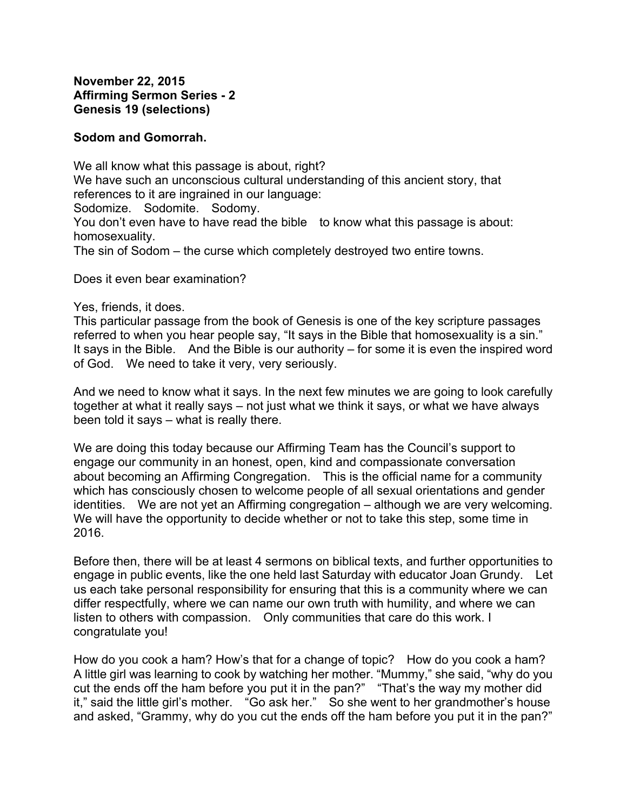## **Sodom and Gomorrah.**

We all know what this passage is about, right? We have such an unconscious cultural understanding of this ancient story, that references to it are ingrained in our language: Sodomize. Sodomite. Sodomy. You don't even have to have read the bible to know what this passage is about: homosexuality. The sin of Sodom – the curse which completely destroyed two entire towns.

Does it even bear examination?

Yes, friends, it does.

This particular passage from the book of Genesis is one of the key scripture passages referred to when you hear people say, "It says in the Bible that homosexuality is a sin." It says in the Bible. And the Bible is our authority – for some it is even the inspired word of God. We need to take it very, very seriously.

And we need to know what it says. In the next few minutes we are going to look carefully together at what it really says – not just what we think it says, or what we have always been told it says – what is really there.

We are doing this today because our Affirming Team has the Council's support to engage our community in an honest, open, kind and compassionate conversation about becoming an Affirming Congregation. This is the official name for a community which has consciously chosen to welcome people of all sexual orientations and gender identities. We are not yet an Affirming congregation – although we are very welcoming. We will have the opportunity to decide whether or not to take this step, some time in 2016.

Before then, there will be at least 4 sermons on biblical texts, and further opportunities to engage in public events, like the one held last Saturday with educator Joan Grundy. Let us each take personal responsibility for ensuring that this is a community where we can differ respectfully, where we can name our own truth with humility, and where we can listen to others with compassion. Only communities that care do this work. I congratulate you!

How do you cook a ham? How's that for a change of topic? How do you cook a ham? A little girl was learning to cook by watching her mother. "Mummy," she said, "why do you cut the ends off the ham before you put it in the pan?" "That's the way my mother did it," said the little girl's mother. "Go ask her." So she went to her grandmother's house and asked, "Grammy, why do you cut the ends off the ham before you put it in the pan?"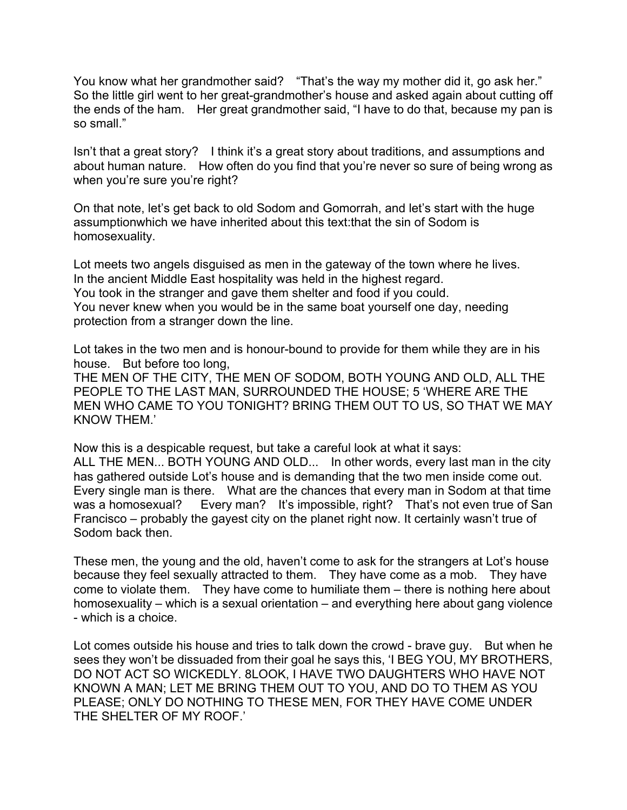You know what her grandmother said? "That's the way my mother did it, go ask her." So the little girl went to her great-grandmother's house and asked again about cutting off the ends of the ham. Her great grandmother said, "I have to do that, because my pan is so small."

Isn't that a great story? I think it's a great story about traditions, and assumptions and about human nature. How often do you find that you're never so sure of being wrong as when you're sure you're right?

On that note, let's get back to old Sodom and Gomorrah, and let's start with the huge assumptionwhich we have inherited about this text:that the sin of Sodom is homosexuality.

Lot meets two angels disguised as men in the gateway of the town where he lives. In the ancient Middle East hospitality was held in the highest regard. You took in the stranger and gave them shelter and food if you could. You never knew when you would be in the same boat yourself one day, needing protection from a stranger down the line.

Lot takes in the two men and is honour-bound to provide for them while they are in his house. But before too long,

THE MEN OF THE CITY, THE MEN OF SODOM, BOTH YOUNG AND OLD, ALL THE PEOPLE TO THE LAST MAN, SURROUNDED THE HOUSE; 5 'WHERE ARE THE MEN WHO CAME TO YOU TONIGHT? BRING THEM OUT TO US, SO THAT WE MAY KNOW THEM.'

Now this is a despicable request, but take a careful look at what it says: ALL THE MEN... BOTH YOUNG AND OLD... In other words, every last man in the city has gathered outside Lot's house and is demanding that the two men inside come out. Every single man is there. What are the chances that every man in Sodom at that time was a homosexual? Every man? It's impossible, right? That's not even true of San Francisco – probably the gayest city on the planet right now. It certainly wasn't true of Sodom back then.

These men, the young and the old, haven't come to ask for the strangers at Lot's house because they feel sexually attracted to them. They have come as a mob. They have come to violate them. They have come to humiliate them – there is nothing here about homosexuality – which is a sexual orientation – and everything here about gang violence - which is a choice.

Lot comes outside his house and tries to talk down the crowd - brave guy. But when he sees they won't be dissuaded from their goal he says this, 'I BEG YOU, MY BROTHERS, DO NOT ACT SO WICKEDLY. 8LOOK, I HAVE TWO DAUGHTERS WHO HAVE NOT KNOWN A MAN; LET ME BRING THEM OUT TO YOU, AND DO TO THEM AS YOU PLEASE; ONLY DO NOTHING TO THESE MEN, FOR THEY HAVE COME UNDER THE SHELTER OF MY ROOF.'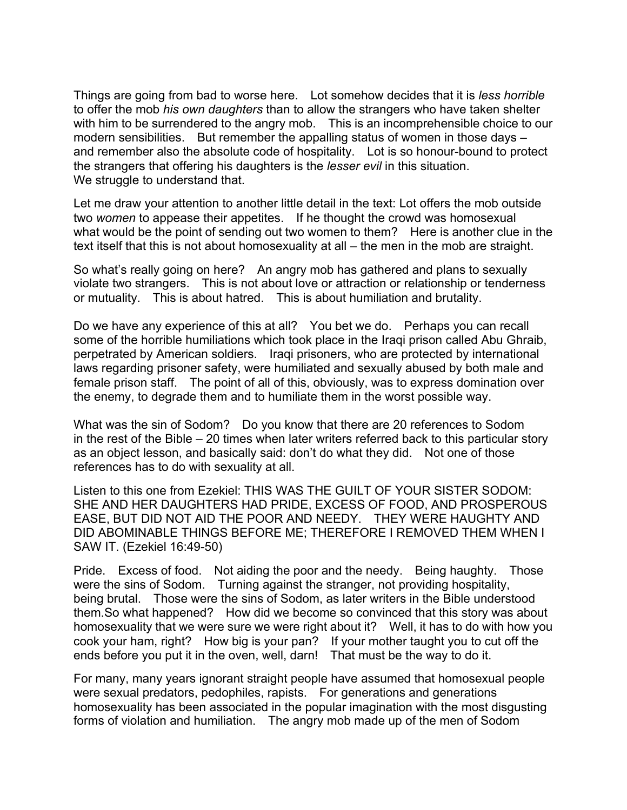Things are going from bad to worse here. Lot somehow decides that it is *less horrible* to offer the mob *his own daughters* than to allow the strangers who have taken shelter with him to be surrendered to the angry mob. This is an incomprehensible choice to our modern sensibilities. But remember the appalling status of women in those days – and remember also the absolute code of hospitality. Lot is so honour-bound to protect the strangers that offering his daughters is the *lesser evil* in this situation. We struggle to understand that.

Let me draw your attention to another little detail in the text: Lot offers the mob outside two *women* to appease their appetites. If he thought the crowd was homosexual what would be the point of sending out two women to them? Here is another clue in the text itself that this is not about homosexuality at all – the men in the mob are straight.

So what's really going on here? An angry mob has gathered and plans to sexually violate two strangers. This is not about love or attraction or relationship or tenderness or mutuality. This is about hatred. This is about humiliation and brutality.

Do we have any experience of this at all? You bet we do. Perhaps you can recall some of the horrible humiliations which took place in the Iraqi prison called Abu Ghraib, perpetrated by American soldiers. Iraqi prisoners, who are protected by international laws regarding prisoner safety, were humiliated and sexually abused by both male and female prison staff. The point of all of this, obviously, was to express domination over the enemy, to degrade them and to humiliate them in the worst possible way.

What was the sin of Sodom? Do you know that there are 20 references to Sodom in the rest of the Bible – 20 times when later writers referred back to this particular story as an object lesson, and basically said: don't do what they did. Not one of those references has to do with sexuality at all.

Listen to this one from Ezekiel: THIS WAS THE GUILT OF YOUR SISTER SODOM: SHE AND HER DAUGHTERS HAD PRIDE, EXCESS OF FOOD, AND PROSPEROUS EASE, BUT DID NOT AID THE POOR AND NEEDY. THEY WERE HAUGHTY AND DID ABOMINABLE THINGS BEFORE ME; THEREFORE I REMOVED THEM WHEN I SAW IT. (Ezekiel 16:49-50)

Pride. Excess of food. Not aiding the poor and the needy. Being haughty. Those were the sins of Sodom. Turning against the stranger, not providing hospitality, being brutal. Those were the sins of Sodom, as later writers in the Bible understood them.So what happened? How did we become so convinced that this story was about homosexuality that we were sure we were right about it? Well, it has to do with how you cook your ham, right? How big is your pan? If your mother taught you to cut off the ends before you put it in the oven, well, darn! That must be the way to do it.

For many, many years ignorant straight people have assumed that homosexual people were sexual predators, pedophiles, rapists. For generations and generations homosexuality has been associated in the popular imagination with the most disgusting forms of violation and humiliation. The angry mob made up of the men of Sodom